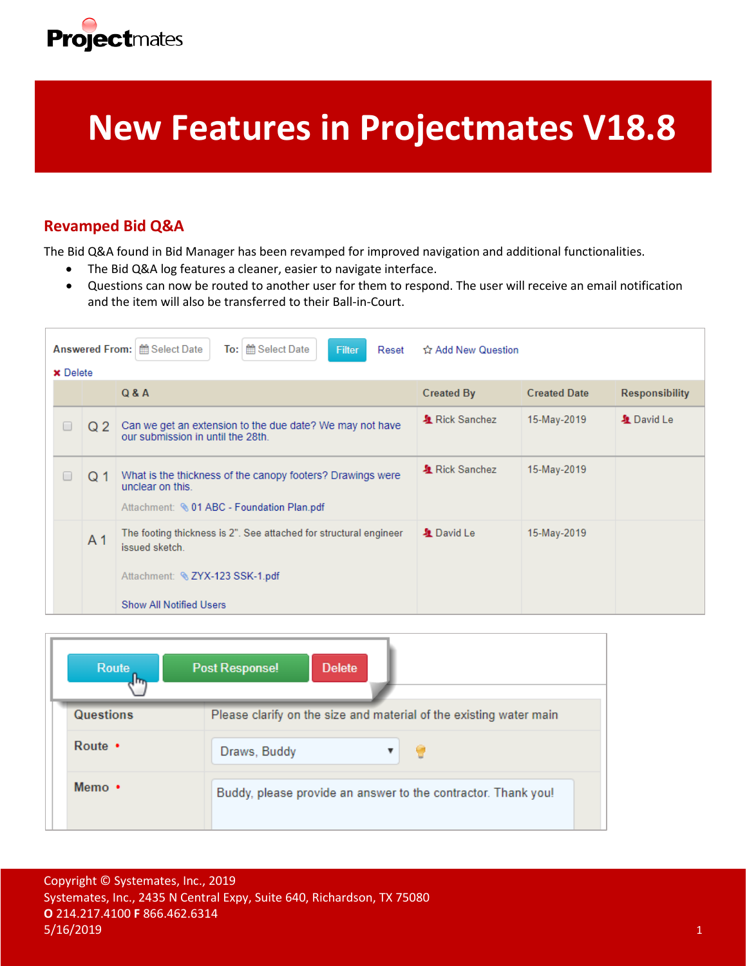

# **New Features in Projectmates V18.8**

## **Revamped Bid Q&A**

The Bid Q&A found in Bid Manager has been revamped for improved navigation and additional functionalities.

- The Bid Q&A log features a cleaner, easier to navigate interface.
- Questions can now be routed to another user for them to respond. The user will receive an email notification and the item will also be transferred to their Ball-in-Court.

|                 |                | Answered From:   <b>  Metalling</b> Select Date<br>the Select Date<br>To:<br>Filter<br>Reset                                  | ☆ Add New Question |                     |                       |  |
|-----------------|----------------|-------------------------------------------------------------------------------------------------------------------------------|--------------------|---------------------|-----------------------|--|
| <b>x</b> Delete |                | Q & A                                                                                                                         | <b>Created By</b>  | <b>Created Date</b> | <b>Responsibility</b> |  |
|                 | Q 2            | Can we get an extension to the due date? We may not have<br>our submission in until the 28th.                                 | & Rick Sanchez     | 15-May-2019         | & David Le            |  |
|                 | Q 1            | What is the thickness of the canopy footers? Drawings were<br>unclear on this.<br>Attachment: \6 01 ABC - Foundation Plan.pdf | & Rick Sanchez     | 15-May-2019         |                       |  |
|                 | A <sub>1</sub> | The footing thickness is 2". See attached for structural engineer<br>issued sketch.<br>Attachment: & ZYX-123 SSK-1.pdf        | & David Le         | 15-May-2019         |                       |  |
|                 |                | <b>Show All Notified Users</b>                                                                                                |                    |                     |                       |  |

| Route            | <b>Post Response!</b><br><b>Delete</b>                             |
|------------------|--------------------------------------------------------------------|
| <b>Questions</b> | Please clarify on the size and material of the existing water main |
| Route $\cdot$    | Draws, Buddy                                                       |
| Memo $\cdot$     | Buddy, please provide an answer to the contractor. Thank you!      |

Copyright © Systemates, Inc., 2019 Systemates, Inc., 2435 N Central Expy, Suite 640, Richardson, TX 75080 **O** 214.217.4100 **F** 866.462.6314  $5/16/2019$  and the contract of the contract of the contract of the contract of the contract of the contract of the contract of the contract of the contract of the contract of the contract of the contract of the contract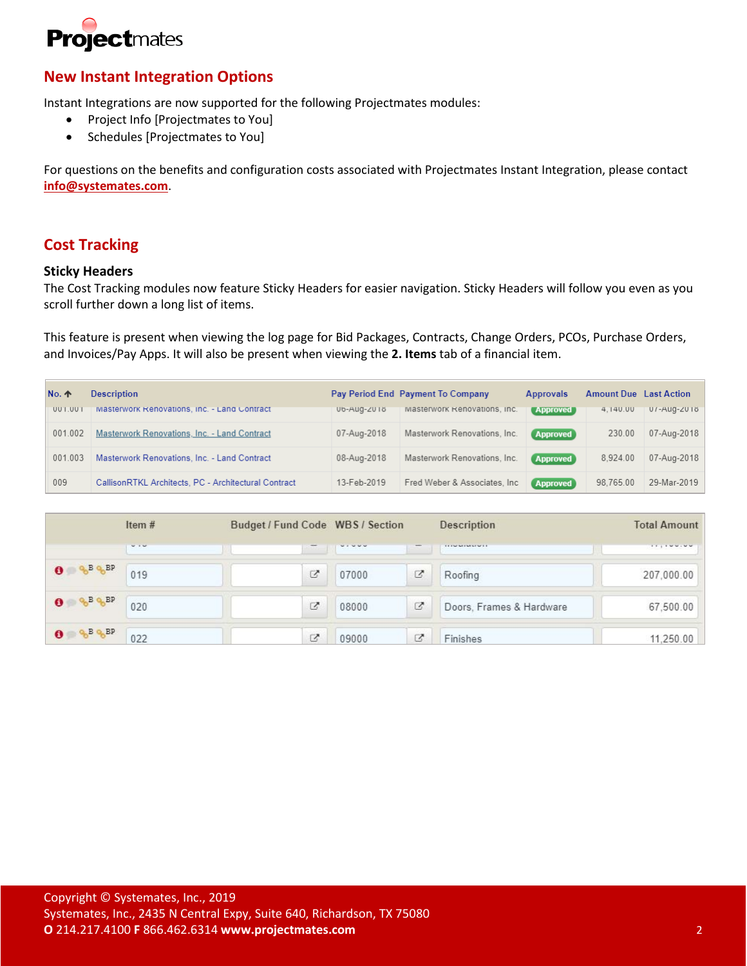

## **New Instant Integration Options**

Instant Integrations are now supported for the following Projectmates modules:

- Project Info [Projectmates to You]
- Schedules [Projectmates to You]

For questions on the benefits and configuration costs associated with Projectmates Instant Integration, please contact **[info@systemates.com](mailto:info@systemates.com)**.

## **Cost Tracking**

#### **Sticky Headers**

The Cost Tracking modules now feature Sticky Headers for easier navigation. Sticky Headers will follow you even as you scroll further down a long list of items.

This feature is present when viewing the log page for Bid Packages, Contracts, Change Orders, PCOs, Purchase Orders, and Invoices/Pay Apps. It will also be present when viewing the **2. Items** tab of a financial item.

| <b>No. 个</b> | <b>Description</b>                                   |             | Pay Period End Payment To Company | <b>Approvals</b> | <b>Amount Due</b> Last Action |                |
|--------------|------------------------------------------------------|-------------|-----------------------------------|------------------|-------------------------------|----------------|
| UUT.UUT      | IMASTERWORK Renovations, Inc. - Land Contract        | Ub-AUG-ZUIO | iviasterwork Renovations, Inc.    | <b>Approved</b>  | 4.140.00                      | U / -AUG-ZU 16 |
| 001.002      | Masterwork Renovations, Inc. - Land Contract         | 07-Aug-2018 | Masterwork Renovations, Inc.      | <b>Approved</b>  | 230.00                        | 07-Aug-2018    |
| 001.003      | Masterwork Renovations, Inc. - Land Contract         | 08-Aug-2018 | Masterwork Renovations, Inc.      | <b>Approved</b>  | 8.924.00                      | 07-Aug-2018    |
| 009          | CallisonRTKL Architects, PC - Architectural Contract | 13-Feb-2019 | Fred Weber & Associates, Inc.     | <b>Approved</b>  | 98.765.00                     | 29-Mar-2019    |

|                                       | Item#     | Budget / Fund Code WBS / Section |          |   | Description                 | <b>Total Amount</b>       |
|---------------------------------------|-----------|----------------------------------|----------|---|-----------------------------|---------------------------|
|                                       | $W \to W$ |                                  | $\cdots$ |   | THE FIRST WAS SIMPLE OF THE | <b><i>CONTRACTORS</i></b> |
| $Q_0 B Q_0 BP$<br>$\mathbf o$         | 019       | 乙                                | 07000    | z | Roofing                     | 207,000.00                |
| $Q_0 B Q_0 B P$<br>$\bullet$          | 020       | Z                                | 08000    | Ø | Doors, Frames & Hardware    | 67,500.00                 |
| $0 \leqslant \frac{a}{b}$ B $a_b$ B P | 022       | Ø                                | 09000    | ø | Finishes                    | 11,250.00                 |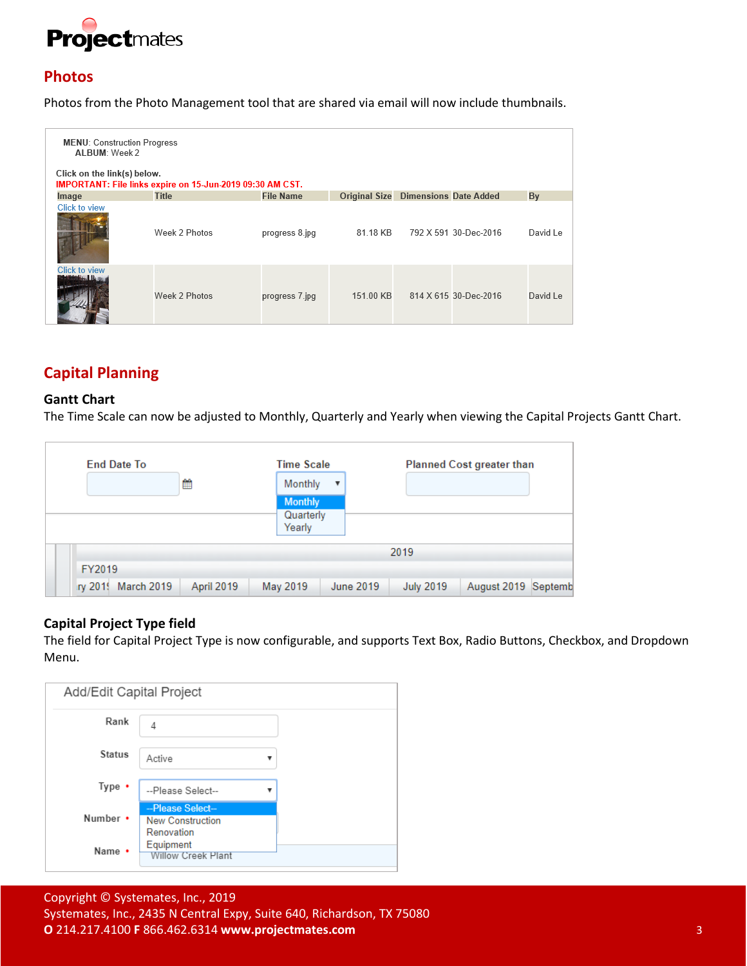

## **Photos**

Photos from the Photo Management tool that are shared via email will now include thumbnails.

| <b>MENU: Construction Progress</b><br>AI BUM: Week 2 |                                                                                          |                  |                                            |  |                       |          |  |  |  |  |  |
|------------------------------------------------------|------------------------------------------------------------------------------------------|------------------|--------------------------------------------|--|-----------------------|----------|--|--|--|--|--|
|                                                      | Click on the link(s) below.<br>IMPORTANT: File links expire on 15-Jun-2019 09:30 AM CST. |                  |                                            |  |                       |          |  |  |  |  |  |
| Image                                                | <b>Title</b>                                                                             | <b>File Name</b> | <b>Original Size Dimensions Date Added</b> |  |                       | By       |  |  |  |  |  |
| <b>Click to view</b>                                 | Week 2 Photos                                                                            | progress 8.jpg   | 81.18 KB                                   |  | 792 X 591 30-Dec-2016 | David Le |  |  |  |  |  |
| <b>Click to view</b>                                 | Week 2 Photos                                                                            | progress 7.jpg   | 151.00 KB                                  |  | 814 X 615 30-Dec-2016 | David Le |  |  |  |  |  |

## **Capital Planning**

#### **Gantt Chart**

The Time Scale can now be adjusted to Monthly, Quarterly and Yearly when viewing the Capital Projects Gantt Chart.

| <b>End Date To</b>     |            | <b>Time Scale</b>                     |                  |                  | <b>Planned Cost greater than</b> |  |
|------------------------|------------|---------------------------------------|------------------|------------------|----------------------------------|--|
|                        | ≝          | Monthly                               | $\blacksquare$   |                  |                                  |  |
|                        |            | <b>Monthly</b><br>Quarterly<br>Yearly |                  |                  |                                  |  |
|                        |            |                                       |                  | 2019             |                                  |  |
| FY2019                 |            |                                       |                  |                  |                                  |  |
| March 2019<br>iry 2019 | April 2019 | May 2019                              | <b>June 2019</b> | <b>July 2019</b> | August 2019 Septemb              |  |

#### **Capital Project Type field**

The field for Capital Project Type is now configurable, and supports Text Box, Radio Buttons, Checkbox, and Dropdown Menu.

| Add/Edit Capital Project |                                                           |  |  |  |
|--------------------------|-----------------------------------------------------------|--|--|--|
| Rank                     | 4                                                         |  |  |  |
| <b>Status</b>            | Active                                                    |  |  |  |
| Type $\cdot$             | --Please Select--                                         |  |  |  |
| Number •                 | --Please Select-<br><b>New Construction</b><br>Renovation |  |  |  |
| Name •                   | Equipment<br><b>Willow Creek Plant</b>                    |  |  |  |

Copyright © Systemates, Inc., 2019 Systemates, Inc., 2435 N Central Expy, Suite 640, Richardson, TX 75080 **O** 214.217.4100 **F** 866.462.6314 **www.projectmates.com** 3